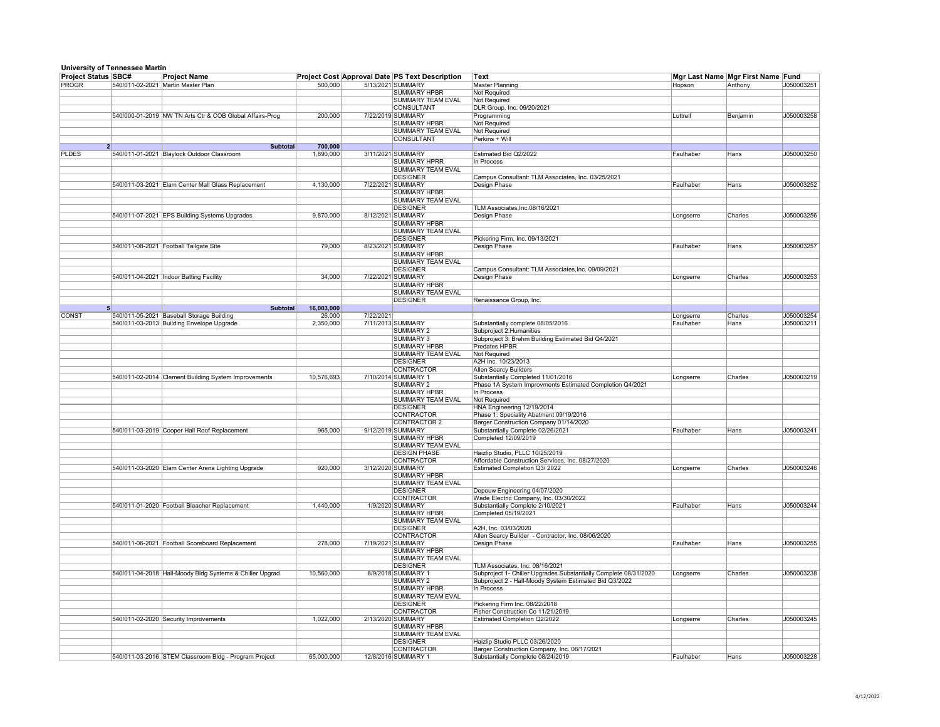|                            | <b>University of Tennessee Martin</b>                    |                               |           |                                                       |                                                                                                                            |            |                                   |            |
|----------------------------|----------------------------------------------------------|-------------------------------|-----------|-------------------------------------------------------|----------------------------------------------------------------------------------------------------------------------------|------------|-----------------------------------|------------|
| <b>Project Status SBC#</b> | <b>Project Name</b>                                      |                               |           | <b>Project Cost Approval Date PS Text Description</b> | Text                                                                                                                       |            | Mgr Last Name Mgr First Name Fund |            |
| <b>PROGR</b>               | 540/011-02-2021<br>Martin Master Plan                    | 500,000                       |           | 5/13/2021 SUMMARY                                     | Master Planning                                                                                                            | Hopson     | Anthony                           | J050003251 |
|                            |                                                          |                               |           | <b>SUMMARY HPBR</b>                                   | Not Required                                                                                                               |            |                                   |            |
|                            |                                                          |                               |           | <b>SUMMARY TEAM EVAL</b>                              | Not Required                                                                                                               |            |                                   |            |
|                            |                                                          |                               |           | <b>CONSULTANT</b>                                     | DLR Group, Inc. 09/20/2021                                                                                                 |            |                                   |            |
|                            | 540/000-01-2019 NW TN Arts Ctr & COB Global Affairs-Prog | 200,000                       |           | 7/22/2019 SUMMARY<br><b>SUMMARY HPBR</b>              | Programming<br><b>Not Required</b>                                                                                         | Luttrell   | Benjamin                          | J050003258 |
|                            |                                                          |                               |           | <b>SUMMARY TEAM EVAL</b>                              | Not Required                                                                                                               |            |                                   |            |
|                            |                                                          |                               |           | <b>CONSULTANT</b>                                     | $Perkins + Will$                                                                                                           |            |                                   |            |
|                            |                                                          | 700,000<br><b>Subtotal</b>    |           |                                                       |                                                                                                                            |            |                                   |            |
| <b>PLDES</b>               | 540/011-01-2021 Blaylock Outdoor Classroom               | 1,890,000                     |           | 3/11/2021 SUMMARY                                     | Estimated Bid Q2/2022                                                                                                      | Faulhaber  | Hans                              | J050003250 |
|                            |                                                          |                               |           | <b>SUMMARY HPRR</b>                                   | In Process                                                                                                                 |            |                                   |            |
|                            |                                                          |                               |           | <b>SUMMARY TEAM EVAL</b>                              |                                                                                                                            |            |                                   |            |
|                            |                                                          |                               |           | <b>DESIGNER</b>                                       | Campus Consultant: TLM Associates, Inc. 03/25/2021                                                                         |            |                                   |            |
|                            | 540/011-03-2021 Elam Center Mall Glass Replacement       | 4,130,000                     |           | 7/22/2021 SUMMARY<br><b>SUMMARY HPBR</b>              | Design Phase                                                                                                               | Faulhaber  | Hans                              | J050003252 |
|                            |                                                          |                               |           | <b>SUMMARY TEAM EVAL</b>                              |                                                                                                                            |            |                                   |            |
|                            |                                                          |                               |           | <b>DESIGNER</b>                                       | TLM Associates, Inc.08/16/2021                                                                                             |            |                                   |            |
|                            | 540/011-07-2021 EPS Building Systems Upgrades            | 9,870,000                     |           | 8/12/2021 SUMMARY                                     | Design Phase                                                                                                               | Longserre  | Charles                           | J050003256 |
|                            |                                                          |                               |           | <b>SUMMARY HPBR</b>                                   |                                                                                                                            |            |                                   |            |
|                            |                                                          |                               |           | <b>SUMMARY TEAM EVAL</b>                              |                                                                                                                            |            |                                   |            |
|                            |                                                          |                               |           | <b>DESIGNER</b>                                       | Pickering Firm, Inc. 09/13/2021                                                                                            |            |                                   |            |
|                            | 540/011-08-2021 Football Tailgate Site                   | 79,000                        |           | 8/23/2021 SUMMARY                                     | Design Phase                                                                                                               | Faulhaber  | Hans                              | J050003257 |
|                            |                                                          |                               |           | <b>SUMMARY HPBR</b>                                   |                                                                                                                            |            |                                   |            |
|                            |                                                          |                               |           | SUMMARY TEAM EVAL                                     |                                                                                                                            |            |                                   |            |
|                            |                                                          |                               |           | <b>DESIGNER</b>                                       | Campus Consultant: TLM Associates, Inc. 09/09/2021                                                                         |            |                                   |            |
|                            | Indoor Batting Facility<br>540/011-04-2021               | 34,000                        |           | 7/22/2021 SUMMARY<br><b>SUMMARY HPBR</b>              | Design Phase                                                                                                               | ∣Longserre | Charles                           | J050003253 |
|                            |                                                          |                               |           | SUMMARY TEAM EVAL                                     |                                                                                                                            |            |                                   |            |
|                            |                                                          |                               |           | <b>DESIGNER</b>                                       | Renaissance Group, Inc.                                                                                                    |            |                                   |            |
|                            |                                                          | 16,003,000<br><b>Subtotal</b> |           |                                                       |                                                                                                                            |            |                                   |            |
| <b>CONST</b>               | 540/011-05-2021 Baseball Storage Building                | 26,000                        | 7/22/2021 |                                                       |                                                                                                                            | Longserre  | Charles                           | J050003254 |
|                            | 540/011-03-2013 Building Envelope Upgrade                | 2,350,000                     |           | 7/11/2013 SUMMARY                                     | Substantially complete 08/05/2016                                                                                          | Faulhaber  | Hans                              | J050003211 |
|                            |                                                          |                               |           | <b>SUMMARY 2</b>                                      | Subproject 2: Humanities                                                                                                   |            |                                   |            |
|                            |                                                          |                               |           | <b>SUMMARY 3</b>                                      | Subproject 3: Brehm Building Estimated Bid Q4/2021                                                                         |            |                                   |            |
|                            |                                                          |                               |           | <b>SUMMARY HPBR</b>                                   | Predates HPBR                                                                                                              |            |                                   |            |
|                            |                                                          |                               |           | <b>SUMMARY TEAM EVAL</b>                              | Not Required                                                                                                               |            |                                   |            |
|                            |                                                          |                               |           | <b>DESIGNER</b><br><b>CONTRACTOR</b>                  | A2H Inc. 10/23/2013<br><b>Allen Searcy Builders</b>                                                                        |            |                                   |            |
|                            | 540/011-02-2014 Clement Building System Improvements     | 10,576,693                    |           | 7/10/2014 SUMMARY 1                                   | Substantially Completed 11/01/2016                                                                                         | Longserre  | Charles                           | J050003219 |
|                            |                                                          |                               |           | <b>SUMMARY 2</b>                                      | Phase 1A System Improvments Estimated Completion Q4/2021                                                                   |            |                                   |            |
|                            |                                                          |                               |           | <b>SUMMARY HPBR</b>                                   | In Process                                                                                                                 |            |                                   |            |
|                            |                                                          |                               |           | <b>SUMMARY TEAM EVAL</b>                              | Not Required                                                                                                               |            |                                   |            |
|                            |                                                          |                               |           | <b>DESIGNER</b>                                       | HNA Engineering 12/19/2014                                                                                                 |            |                                   |            |
|                            |                                                          |                               |           | <b>CONTRACTOR</b>                                     | Phase 1: Speciality Abatment 09/19/2016                                                                                    |            |                                   |            |
|                            |                                                          |                               |           | <b>CONTRACTOR 2</b>                                   | Barger Construction Company 01/14/2020                                                                                     |            |                                   |            |
|                            | 540/011-03-2019 Cooper Hall Roof Replacement             | 965,000                       |           | 9/12/2019 SUMMARY<br><b>SUMMARY HPBR</b>              | Substantially Complete 02/26/2021<br>Completed 12/09/2019                                                                  | Faulhaber  | Hans                              | J050003241 |
|                            |                                                          |                               |           | <b>SUMMARY TEAM EVAL</b>                              |                                                                                                                            |            |                                   |            |
|                            |                                                          |                               |           | <b>DESIGN PHASE</b>                                   | Haizlip Studio, PLLC 10/25/2019                                                                                            |            |                                   |            |
|                            |                                                          |                               |           | <b>CONTRACTOR</b>                                     | Affordable Construction Services, Inc. 08/27/2020                                                                          |            |                                   |            |
|                            | 540/011-03-2020 Elam Center Arena Lighting Upgrade       | 920,000                       |           | 3/12/2020 SUMMARY                                     | <b>Estimated Completion Q3/2022</b>                                                                                        | Longserre  | Charles                           | J050003246 |
|                            |                                                          |                               |           | <b>SUMMARY HPBR</b>                                   |                                                                                                                            |            |                                   |            |
|                            |                                                          |                               |           | <b>SUMMARY TEAM EVAL</b>                              |                                                                                                                            |            |                                   |            |
|                            |                                                          |                               |           | <b>DESIGNER</b>                                       | Depouw Engineering 04/07/2020                                                                                              |            |                                   |            |
|                            | 540/011-01-2020 Football Bleacher Replacement            | 1,440,000                     |           | <b>CONTRACTOR</b><br>1/9/2020 SUMMARY                 | Wade Electric Company, Inc. 03/30/2022<br>Substantially Complete 2/10/2021                                                 | Faulhaber  | Hans                              | J050003244 |
|                            |                                                          |                               |           | <b>SUMMARY HPBR</b>                                   | Completed 05/19/2021                                                                                                       |            |                                   |            |
|                            |                                                          |                               |           | SUMMARY TEAM EVAL                                     |                                                                                                                            |            |                                   |            |
|                            |                                                          |                               |           | <b>DESIGNER</b>                                       | A2H, Inc. 03/03/2020                                                                                                       |            |                                   |            |
|                            |                                                          |                               |           | <b>CONTRACTOR</b>                                     | Allen Searcy Builder - Contractor, Inc. 08/06/2020                                                                         |            |                                   |            |
|                            | 540/011-06-2021 Football Scoreboard Replacement          | 278,000                       |           | 7/19/2021 SUMMARY                                     | Design Phase                                                                                                               | Faulhaber  | Hans                              | J050003255 |
|                            |                                                          |                               |           | SUMMARY HPBR                                          |                                                                                                                            |            |                                   |            |
|                            |                                                          |                               |           | SUMMARY TEAM EVAL                                     |                                                                                                                            |            |                                   |            |
|                            |                                                          |                               |           | <b>DESIGNER</b>                                       | TLM Associates, Inc. 08/16/2021                                                                                            |            | <b>Charles</b>                    |            |
|                            | 540/011-04-2018 Hall-Moody Bldg Systems & Chiller Upgrad | 10,560,000                    |           | 8/9/2018 SUMMARY 1<br>SUMMARY 2                       | Subproject 1- Chiller Upgrades Substantially Complete 08/31/2020<br>Subproject 2 - Hall-Moody System Estimated Bid Q3/2022 | Longserre  |                                   | J050003238 |
|                            |                                                          |                               |           | <b>SUMMARY HPBR</b>                                   | In Process                                                                                                                 |            |                                   |            |
|                            |                                                          |                               |           | <b>SUMMARY TEAM EVAL</b>                              |                                                                                                                            |            |                                   |            |
|                            |                                                          |                               |           | <b>DESIGNER</b>                                       | Pickering Firm Inc. 08/22/2018                                                                                             |            |                                   |            |
|                            |                                                          |                               |           | <b>CONTRACTOR</b>                                     | Fisher Construction Co 11/21/2019                                                                                          |            |                                   |            |
|                            | 540/011-02-2020 Security Improvements                    | 1,022,000                     |           | 2/13/2020 SUMMARY                                     | <b>Estimated Completion Q2/2022</b>                                                                                        | ∣Longserre | Charles                           | J050003245 |
|                            |                                                          |                               |           | <b>SUMMARY HPBR</b>                                   |                                                                                                                            |            |                                   |            |
|                            |                                                          |                               |           | <b>SUMMARY TEAM EVAL</b>                              |                                                                                                                            |            |                                   |            |
|                            |                                                          |                               |           | <b>DESIGNER</b><br><b>CONTRACTOR</b>                  | Haizlip Studio PLLC 03/26/2020                                                                                             |            |                                   |            |
|                            | 540/011-03-2016 STEM Classroom Bldg - Program Project    | 65,000,000                    |           | 12/8/2016 SUMMARY 1                                   | Barger Construction Company, Inc. 06/17/2021<br>Substantially Complete 08/24/2019                                          | Faulhaber  | Hans                              | J050003228 |
|                            |                                                          |                               |           |                                                       |                                                                                                                            |            |                                   |            |